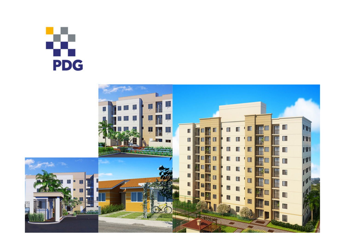# **PDG**

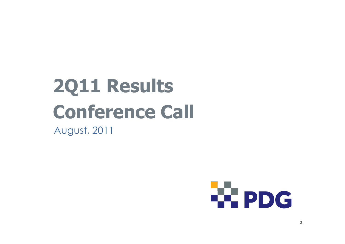## 2Q11 ResultsConference CallAugust, 2011

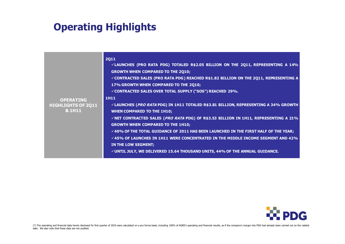## Operating Highlights

| <b>OPERATING</b><br><b>HIGHLIGHTS OF 2Q11</b><br>& 1H11 | <b>2Q11</b><br>VLAUNCHES (PRO RATA PDG) TOTALED R\$2.05 BILLION ON THE 2Q11, REPRESENTING A 14%<br><b>GROWTH WHEN COMPARED TO THE 2Q10;</b><br>$\checkmark$ CONTRACTED SALES (PRO RATA PDG) REACHED R\$1.82 BILLION ON THE 2Q11, REPRESENTING A<br>17% GROWTH WHEN COMPARED TO THE 2Q10;<br>√CONTRACTED SALES OVER TOTAL SUPPLY ("SOS") REACHED 29%.<br><b>1H11</b><br>√LAUNCHES ( <i>PRO RATA</i> PDG) IN 1H11 TOTALED R\$3.81 BILLION, REPRESENTING A 34% GROWTH<br><b>WHEN COMPARED TO THE 1H10;</b><br>$\checkmark$ NET CONTRACTED SALES ( <i>PRO RATA</i> PDG) OF R\$3.53 BILLION IN 1H11, REPRESENTING A 21%<br><b>GROWTH WHEN COMPARED TO THE 1H10;</b><br>$\checkmark$ 40% of the total guidance of 2011 has been launched in the first half of the Year;<br>$\checkmark$ 45% of Launches in 1H11 were concentrated in the middle income segment and 42%<br>IN THE LOW SEGMENT;<br>$\checkmark$ UNTIL JULY, WE DELIVERED 15.64 THOUSAND UNITS, 44% OF THE ANNUAL GUIDANCE. |
|---------------------------------------------------------|------------------------------------------------------------------------------------------------------------------------------------------------------------------------------------------------------------------------------------------------------------------------------------------------------------------------------------------------------------------------------------------------------------------------------------------------------------------------------------------------------------------------------------------------------------------------------------------------------------------------------------------------------------------------------------------------------------------------------------------------------------------------------------------------------------------------------------------------------------------------------------------------------------------------------------------------------------------------------------|
|                                                         |                                                                                                                                                                                                                                                                                                                                                                                                                                                                                                                                                                                                                                                                                                                                                                                                                                                                                                                                                                                    |

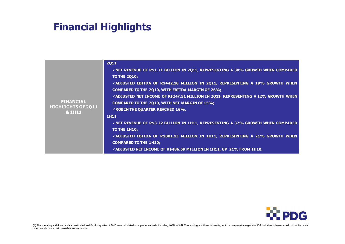## Financial Highlights

|                                     | <b>2Q11</b>                                                                                             |
|-------------------------------------|---------------------------------------------------------------------------------------------------------|
|                                     | VNET REVENUE OF R\$1.71 BILLION IN 2Q11, REPRESENTING A 30% GROWTH WHEN COMPARED<br><b>TO THE 2Q10;</b> |
|                                     | VADJUSTED EBITDA OF R\$442.16 MILLION IN 2Q11, REPRESENTING A 19% GROWTH WHEN                           |
|                                     | COMPARED TO THE 2Q10, WITH EBITDA MARGIN OF 26%;                                                        |
|                                     | VADJUSTED NET INCOME OF R\$247.51 MILLION IN 2Q11, REPRESENTING A 12% GROWTH WHEN                       |
| <b>FINANCIAL</b>                    | COMPARED TO THE 2Q10, WITH NET MARGIN OF 15%;                                                           |
| <b>HIGHLIGHTS OF 2Q11</b><br>& 1H11 | $\sqrt{R}$ ROE IN THE QUARTER REACHED 16%.                                                              |
|                                     | <b>1H11</b>                                                                                             |
|                                     | VNET REVENUE OF R\$3.22 BILLION IN 1H11, REPRESENTING A 32% GROWTH WHEN COMPARED                        |
|                                     | <b>TO THE 1H10;</b>                                                                                     |
|                                     | VADJUSTED EBITDA OF R\$801.93 MILLION IN 1H11, REPRESENTING A 21% GROWTH WHEN                           |
|                                     | <b>COMPARED TO THE 1H10;</b>                                                                            |
|                                     | VADJUSTED NET INCOME OF R\$486.59 MILLION IN 1H11, UP 21% FROM 1H10.                                    |

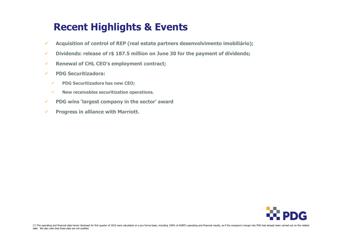## Recent Highlights & Events

- $\checkmark$ Acquisition of control of REP (real estate partners desenvolvimento imobiliário);
- $\checkmark$ Dividends: release of r\$ 187.5 million on June <sup>30</sup> for the payment of dividends;
- $\checkmark$ Renewal of CHL CEO's employment contract;
- $\checkmark$  PDG Securitizadora:
	- $\checkmark$ PDG Securitizadora has new CEO;
	- $\checkmark$  New receivables securitization operations.
- $\checkmark$  PDG wins `largest company in the sector' award
- $\checkmark$ Progress in alliance with Marriott.

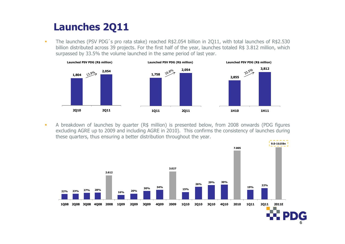## Launches 2Q11

- The launches (PSV PDG´<sup>s</sup> pro rata stake) reached R\$2.054 billion in 2Q11, with total launches of R\$2.530 billion distributed across 39 projects. For the first half of the year, launches totaled R\$ 3.812 million, which surpassed by 33.5% the volume launched in the same period of last year.



A breakdown of launches by quarter (R\$ million) is presented below, from 2008 onwards (PDG figures<br>excluding ACPE up to 2009 and including ACPE in 2010). This confirms the consistency of launches during excluding AGRE up to <sup>2009</sup> and including AGRE in 2010). This confirms the consistency of launches during these quarters, thus ensuring <sup>a</sup> better distribution throughout the year.



6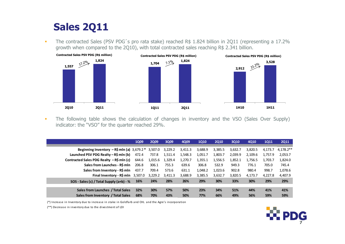## Sales 2Q11

-The contracted Sales (PSV PDG's pro rata stake) reached R\$ 1.824 billion in 2Q11 (representing a 17.2% growth when compared to the 2Q10), with total contracted sales reaching R\$ 2.341 billion.



- The following table shows the calculation of changes in inventory and the VSO (Sales Over Supply) indicator: the "VSO" for the quarter reached 29%.

|                                                    | <b>1Q09</b> | <b>2Q09</b> | 3Q09    | 4Q09    | <b>1Q10</b> | <b>2010</b> | 3Q10    | <b>4010</b> | <b>1Q11</b> | <b>2Q11</b> |
|----------------------------------------------------|-------------|-------------|---------|---------|-------------|-------------|---------|-------------|-------------|-------------|
| Beginning Inventory $-R\sinh(a) 3,679.2 * 3,507.0$ |             |             | 3,229.2 | 3,411.3 | 3,688.9     | 3,385.5     | 3,632.7 | 3,820.5     | 4,173.7     | $4.178.2**$ |
| Launched PSV PDG Realty – R\$ mln (b)              | 472.4       | 737.8       | 1,511.4 | 1,548.3 | 1,051.7     | 1,803.7     | 2,039.9 | 2.109.6     | 1.757.9     | 2,053.7     |
| Contracted Sales PDG Realty – R\$ mln (c)          | 644.6       | 1,015.6     | 1,329.4 | 1,270.7 | 1,355.1     | 1,556.5     | 1,852.1 | 1,756.5     | 1.703.7     | 1,824.0     |
| Sales from Launches - R\$ mln                      | 206.8       | 306.1       | 755.3   | 639.6   | 306.8       | 532.9       | 949.3   | 776.1       | 705.0       | 745.4       |
| Sales from Inventory - R\$ mln                     | 437.7       | 709.4       | 573.6   | 631.1   | 1,048.2     | 1,023.6     | 902.8   | 980.4       | 998.7       | 1,078.6     |
| Final Inventory - $R\$ mln $3,507.0$               |             | 3,229.2     | 3.411.3 | 3,688.9 | 3,385.5     | 3,632.7     | 3,820.5 | 4,173.7     | 4,227.8     | 4,407.9     |
| SOS - Sales (c) / Total Supply $(a+b)$ - %         | <b>16%</b>  | 24%         | 28%     | 26%     | 29%         | 30%         | 33%     | 30%         | 29%         | 29%         |
| Sales from Launches / Total Sales                  | 32%         | 30%         | 57%     | 50%     | 23%         | 34%         | 51%     | 44%         | 41%         | 41%         |
| Sales from Inventory / Total Sales                 | 68%         | 70%         | 43%     | 50%     | 77%         | 66%         | 49%     | 56%         | 59%         | 59%         |

(\*) Increase in Inventory due to increase in stake in Goldfarb and CHL and the Agre's incorporation

(\*\*) Decrease in inventory due to the divestment of LDI

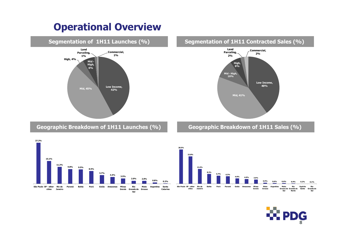## Operational Overview



Geographic Breakdown of 1H11 Launches (%)

27.2%



#### Segmentation of 1H11 Contracted Sales (%)

Geographic Breakdown of 1H11 Sales (%)





**Report**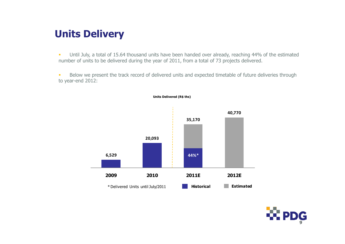## Units Delivery

- Until July, a total of 15.64 thousand units have been handed over already, reaching 44% of the estimated number of units to be delivered during the year of 2011, from a total of 73 projects delivered.

- Below we present the track record of delivered units and expected timetable of future deliveries through to year-end 2012:



Units Delivered (R\$ ths)

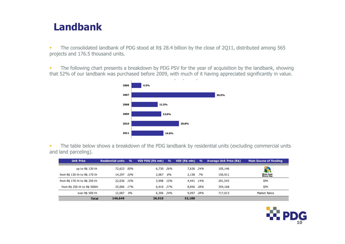### Landbank

- The consolidated landbank of PDG stood at R\$ 28.4 billion by the close of 2Q11, distributed among 565 projects and 176.5 thousand units.

- The following chart presents a breakdown by PDG PSV for the year of acquisition by the landbank, showing that 52% of our landbank was purchased before 2009, with much of it having appreciated significantly in value.



- The table below shows a breakdown of the PDG landbank by residential units (excluding commercial units and land parceling).

| <b>Unit Price</b>             | Residential units | $\frac{9}{6}$ | VGV PDG (R\$ mln) | $\frac{a}{b}$ | VGV (R\$ mln) | $\frac{9}{6}$ | <b>Average Unit Price (R\$)</b> | <b>Main Source of Funding</b>          |
|-------------------------------|-------------------|---------------|-------------------|---------------|---------------|---------------|---------------------------------|----------------------------------------|
| up to R\$ 130 th              | 72.623 50%        |               | 6.730 26%         |               | 7.636 24%     |               | 105,146                         | m                                      |
| from R\$ 130 th to R\$ 170 th | 14.297            | 10%           | 2,067             | 8%            | 2.158         | 7%            | 150,911                         | <b>Minha Casa</b><br><b>Minha Vida</b> |
| from R\$ 170 th to R\$ 250 th | 22,036 15%        |               | 3.998 15%         |               | 4.441 14%     |               | 201,543                         | <b>SFH</b>                             |
| from R\$ 250 th to R\$ 500th  | 25,006 17%        |               | 6.910 27%         |               | 8.856 28%     |               | 354,168                         | SFH                                    |
| over R\$ 500 th               | 12,687            | 9%            | 6.306 24%         |               | 9.097 28%     |               | 717,013                         | Market Rates                           |
| <b>Total</b>                  | 146,649           |               | 26,010            |               | 32,188        |               |                                 |                                        |

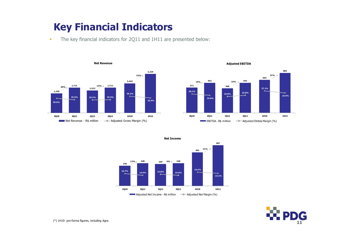## Key Financial Indicators

-The key financial indicators for 2Q11 and 1H11 are presented below:



Adjusted EBITDA



220248 $\frac{96}{7}$  248 239 4% 248 16.7%14.5% 15.8% 14.5% 2Q10 2Q11 1Q11 2Q11  $12\%$ 40148716.4%15.1%1H10 1H11 21%Adjusted Net Income -  $R\$  million  $\Box$  Adjusted Net Margin (%)

Net Income

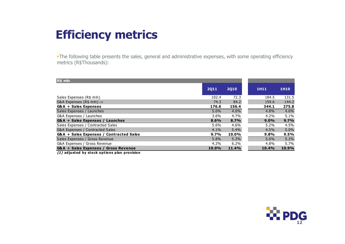## Efficiency metrics

-The following table presents the sales, general and administrative expenses, with some operating efficiency metrics (R\$Thousands):

| $R$$ mln                                       |             |             |             |       |
|------------------------------------------------|-------------|-------------|-------------|-------|
|                                                | <b>2Q11</b> | <b>2Q10</b> | <b>1H11</b> | 1H10  |
| Sales Expenses (R\$ mln)                       | 102.4       | 72.3        | 184.5       | 131.5 |
| G&A Expenses ( $R$$ mln) $(1)$                 | 74.3        | 84.2        | 159.6       | 144.2 |
| <b>G&amp;A + Sales Expenses</b>                | 176.6       | 156.4       | 344.1       | 275.8 |
| Sales Expenses / Launches                      | 5.0%        | 4.0%        | 4.8%        | 4.6%  |
| G&A Expenses / Launches                        | 3.6%        | 4.7%        | 4.2%        | 5.1%  |
| G&A + Sales Expenses / Launches                | 8.6%        | 8.7%        | $9.0\%$     | 9.7%  |
| Sales Expenses / Contracted Sales              | 5.6%        | 4.6%        | 5.2%        | 4.5%  |
| <b>G&amp;A Expenses / Contracted Sales</b>     | 4.1%        | 5.4%        | 4.5%        | 5.0%  |
| G&A + Sales Expenses / Contracted Sales        | $9.7\%$     | 10.0%       | 9.8%        | 9.5%  |
| Sales Expenses / Gross Revenue                 | 5.8%        | 5.3%        | $5.6\%$     | 5.2%  |
| G&A Expenses / Gross Revenue                   | 4.2%        | 6.2%        | 4.8%        | 5.7%  |
| G&A + Sales Expenses / Gross Revenue           | 10.0%       | 11.4%       | 10.4%       | 10.9% |
| $(1)$ adjusted by stock options plan provision |             |             |             |       |

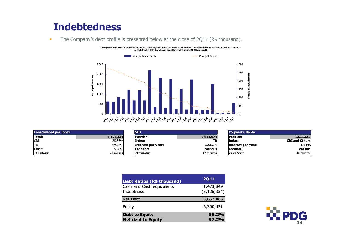## Indebtedness

-The Company's debt profile is presented below at the close of 2Q11 (R\$ thousand).

Debt (excludes SFH and partners in projects already considered into SPC's cash flow - considers debentures 3rd and 5th issuances) -<br>schedule after 2Q11 and position in the end of period (R\$ thousand)



| <b>Consolidated per Index</b> |           |  |  |  |  |
|-------------------------------|-----------|--|--|--|--|
| <b>Total:</b>                 | 5,126,334 |  |  |  |  |
| <b>CDI</b>                    | 25.56%    |  |  |  |  |
| ltr                           | 69.06%    |  |  |  |  |
| <b>l</b> Others               | 5.38%     |  |  |  |  |
| Duration:                     | 22 meses  |  |  |  |  |

| olidated per Index |           | <b>SFH</b>                |                    | Corporate Debts    |                       |
|--------------------|-----------|---------------------------|--------------------|--------------------|-----------------------|
|                    | 5,126,334 | llPosition:               | 3,614,674          | <b>IPosition:</b>  | 1,511,660             |
|                    | 25.56%    | llIndex:                  | TRI                | lIndex:            | <b>CDI and Others</b> |
|                    | 69.06%    | <b>Interest per year:</b> | 10.12%             | Interest per year: | 1.64%                 |
|                    | 5.38%     | Creditor:                 | Variousl           | <b>I</b> Creditor: | Various               |
| tion:              | 22 meses  | Duration:                 | 17 months <b>l</b> | Duration:          | 34 months             |
|                    |           |                           |                    |                    |                       |

|     | <b>Corporate Debts</b> |                       |
|-----|------------------------|-----------------------|
| 74  | <b>Position:</b>       | 1,511,660             |
| ΓR  | lIndex:                | <b>CDI and Others</b> |
| ٥⁄۵ | Interest per year:     | 1.64%                 |
| usl | Creditor:              | <b>Various</b>        |
| hs  | Duration:              | 34 months             |

| <b>Debt Ratios (R\$ thousand)</b>                  | <b>2Q11</b>                |
|----------------------------------------------------|----------------------------|
| Cash and Cash equivalents<br><b>Indebtness</b>     | 1,473,849<br>(5, 126, 334) |
| <b>Net Debt</b>                                    | 3,652,485                  |
| Equity                                             | 6,390,431                  |
| <b>Debt to Equity</b><br><b>Net debt to Equity</b> | 80.2%<br>57.2%             |